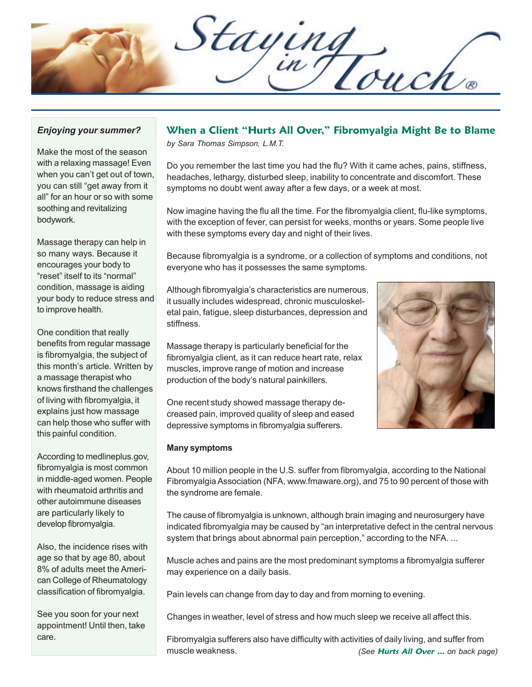Staying

### *Enjoying your summer?*

Make the most of the season with a relaxing massage! Even when you can't get out of town, you can still "get away from it all" for an hour or so with some soothing and revitalizing bodywork.

Massage therapy can help in so many ways. Because it encourages your body to "reset" itself to its "normal" condition, massage is aiding your body to reduce stress and to improve health.

One condition that really benefits from regular massage is fibromyalgia, the subject of this month's article. Written by a massage therapist who knows firsthand the challenges of living with fibromyalgia, it explains just how massage can help those who suffer with this painful condition.

According to medlineplus.gov, fibromyalgia is most common in middle-aged women. People with rheumatoid arthritis and other autoimmune diseases are particularly likely to develop fibromyalgia.

Also, the incidence rises with age so that by age 80, about 8% of adults meet the American College of Rheumatology classification of fibromyalgia.

See you soon for your next appointment! Until then, take care.

### **When a Client "Hurts All Over," Fibromyalgia Might Be to Blame**

*by Sara Thomas Simpson, L.M.T.*

Do you remember the last time you had the flu? With it came aches, pains, stiffness, headaches, lethargy, disturbed sleep, inability to concentrate and discomfort. These symptoms no doubt went away after a few days, or a week at most.

Now imagine having the flu all the time. For the fibromyalgia client, flu-like symptoms, with the exception of fever, can persist for weeks, months or years. Some people live with these symptoms every day and night of their lives.

Because fibromyalgia is a syndrome, or a collection of symptoms and conditions, not everyone who has it possesses the same symptoms.

Although fibromyalgia's characteristics are numerous, it usually includes widespread, chronic musculoskeletal pain, fatigue, sleep disturbances, depression and stiffness.

Massage therapy is particularly beneficial for the fibromyalgia client, as it can reduce heart rate, relax muscles, improve range of motion and increase production of the body's natural painkillers.

One recent study showed massage therapy decreased pain, improved quality of sleep and eased depressive symptoms in fibromyalgia sufferers.

### **Many symptoms**

About 10 million people in the U.S. suffer from fibromyalgia, according to the National Fibromyalgia Association (NFA, www.fmaware.org), and 75 to 90 percent of those with the syndrome are female.

The cause of fibromyalgia is unknown, although brain imaging and neurosurgery have indicated fibromyalgia may be caused by "an interpretative defect in the central nervous system that brings about abnormal pain perception," according to the NFA...

Muscle aches and pains are the most predominant symptoms a fibromyalgia sufferer may experience on a daily basis.

Pain levels can change from day to day and from morning to evening.

Changes in weather, level of stress and how much sleep we receive all affect this.

Fibromyalgia sufferers also have difficulty with activities of daily living, and suffer from muscle weakness. *(See* **Hurts All Over ...** *on back page)*